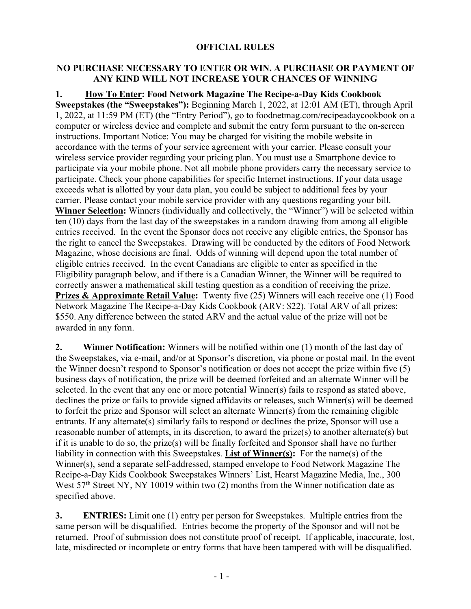## **OFFICIAL RULES**

## **NO PURCHASE NECESSARY TO ENTER OR WIN. A PURCHASE OR PAYMENT OF ANY KIND WILL NOT INCREASE YOUR CHANCES OF WINNING**

**1. How To Enter: Food Network Magazine The Recipe-a-Day Kids Cookbook Sweepstakes (the "Sweepstakes"):** Beginning March 1, 2022, at 12:01 AM (ET), through April 1, 2022, at 11:59 PM (ET) (the "Entry Period"), go to foodnetmag.com/recipeadaycookbook on a computer or wireless device and complete and submit the entry form pursuant to the on-screen instructions. Important Notice: You may be charged for visiting the mobile website in accordance with the terms of your service agreement with your carrier. Please consult your wireless service provider regarding your pricing plan. You must use a Smartphone device to participate via your mobile phone. Not all mobile phone providers carry the necessary service to participate. Check your phone capabilities for specific Internet instructions. If your data usage exceeds what is allotted by your data plan, you could be subject to additional fees by your carrier. Please contact your mobile service provider with any questions regarding your bill. **Winner Selection:** Winners (individually and collectively, the "Winner") will be selected within ten (10) days from the last day of the sweepstakes in a random drawing from among all eligible entries received. In the event the Sponsor does not receive any eligible entries, the Sponsor has the right to cancel the Sweepstakes. Drawing will be conducted by the editors of Food Network Magazine, whose decisions are final. Odds of winning will depend upon the total number of eligible entries received.In the event Canadians are eligible to enter as specified in the Eligibility paragraph below, and if there is a Canadian Winner, the Winner will be required to correctly answer a mathematical skill testing question as a condition of receiving the prize. **Prizes & Approximate Retail Value:** Twenty five (25) Winners will each receive one (1) Food Network Magazine The Recipe-a-Day Kids Cookbook (ARV: \$22). Total ARV of all prizes: \$550. Any difference between the stated ARV and the actual value of the prize will not be awarded in any form.

**2. Winner Notification:** Winners will be notified within one (1) month of the last day of the Sweepstakes, via e-mail, and/or at Sponsor's discretion, via phone or postal mail. In the event the Winner doesn't respond to Sponsor's notification or does not accept the prize within five (5) business days of notification, the prize will be deemed forfeited and an alternate Winner will be selected. In the event that any one or more potential Winner(s) fails to respond as stated above, declines the prize or fails to provide signed affidavits or releases, such Winner(s) will be deemed to forfeit the prize and Sponsor will select an alternate Winner(s) from the remaining eligible entrants. If any alternate(s) similarly fails to respond or declines the prize, Sponsor will use a reasonable number of attempts, in its discretion, to award the prize(s) to another alternate(s) but if it is unable to do so, the prize(s) will be finally forfeited and Sponsor shall have no further liability in connection with this Sweepstakes. **List of Winner(s):** For the name(s) of the Winner(s), send a separate self-addressed, stamped envelope to Food Network Magazine The Recipe-a-Day Kids Cookbook Sweepstakes Winners' List, Hearst Magazine Media, Inc., 300 West 57<sup>th</sup> Street NY, NY 10019 within two (2) months from the Winner notification date as specified above.

**3. ENTRIES:** Limit one (1) entry per person for Sweepstakes. Multiple entries from the same person will be disqualified. Entries become the property of the Sponsor and will not be returned. Proof of submission does not constitute proof of receipt. If applicable, inaccurate, lost, late, misdirected or incomplete or entry forms that have been tampered with will be disqualified.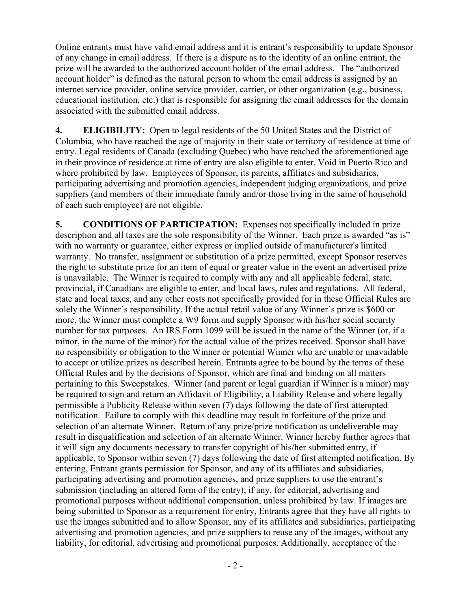Online entrants must have valid email address and it is entrant's responsibility to update Sponsor of any change in email address. If there is a dispute as to the identity of an online entrant, the prize will be awarded to the authorized account holder of the email address. The "authorized account holder" is defined as the natural person to whom the email address is assigned by an internet service provider, online service provider, carrier, or other organization (e.g., business, educational institution, etc.) that is responsible for assigning the email addresses for the domain associated with the submitted email address.

**4. ELIGIBILITY:** Open to legal residents of the 50 United States and the District of Columbia, who have reached the age of majority in their state or territory of residence at time of entry. Legal residents of Canada (excluding Quebec) who have reached the aforementioned age in their province of residence at time of entry are also eligible to enter. Void in Puerto Rico and where prohibited by law. Employees of Sponsor, its parents, affiliates and subsidiaries, participating advertising and promotion agencies, independent judging organizations, and prize suppliers (and members of their immediate family and/or those living in the same of household of each such employee) are not eligible.

**5. CONDITIONS OF PARTICIPATION:** Expenses not specifically included in prize description and all taxes are the sole responsibility of the Winner. Each prize is awarded "as is" with no warranty or guarantee, either express or implied outside of manufacturer's limited warranty. No transfer, assignment or substitution of a prize permitted, except Sponsor reserves the right to substitute prize for an item of equal or greater value in the event an advertised prize is unavailable. The Winner is required to comply with any and all applicable federal, state, provincial, if Canadians are eligible to enter, and local laws, rules and regulations. All federal, state and local taxes, and any other costs not specifically provided for in these Official Rules are solely the Winner's responsibility. If the actual retail value of any Winner's prize is \$600 or more, the Winner must complete a W9 form and supply Sponsor with his/her social security number for tax purposes. An IRS Form 1099 will be issued in the name of the Winner (or, if a minor, in the name of the minor) for the actual value of the prizes received. Sponsor shall have no responsibility or obligation to the Winner or potential Winner who are unable or unavailable to accept or utilize prizes as described herein. Entrants agree to be bound by the terms of these Official Rules and by the decisions of Sponsor, which are final and binding on all matters pertaining to this Sweepstakes. Winner (and parent or legal guardian if Winner is a minor) may be required to sign and return an Affidavit of Eligibility, a Liability Release and where legally permissible a Publicity Release within seven (7) days following the date of first attempted notification. Failure to comply with this deadline may result in forfeiture of the prize and selection of an alternate Winner. Return of any prize/prize notification as undeliverable may result in disqualification and selection of an alternate Winner. Winner hereby further agrees that it will sign any documents necessary to transfer copyright of his/her submitted entry, if applicable, to Sponsor within seven (7) days following the date of first attempted notification. By entering, Entrant grants permission for Sponsor, and any of its affiliates and subsidiaries, participating advertising and promotion agencies, and prize suppliers to use the entrant's submission (including an altered form of the entry), if any, for editorial, advertising and promotional purposes without additional compensation, unless prohibited by law. If images are being submitted to Sponsor as a requirement for entry, Entrants agree that they have all rights to use the images submitted and to allow Sponsor, any of its affiliates and subsidiaries, participating advertising and promotion agencies, and prize suppliers to reuse any of the images, without any liability, for editorial, advertising and promotional purposes. Additionally, acceptance of the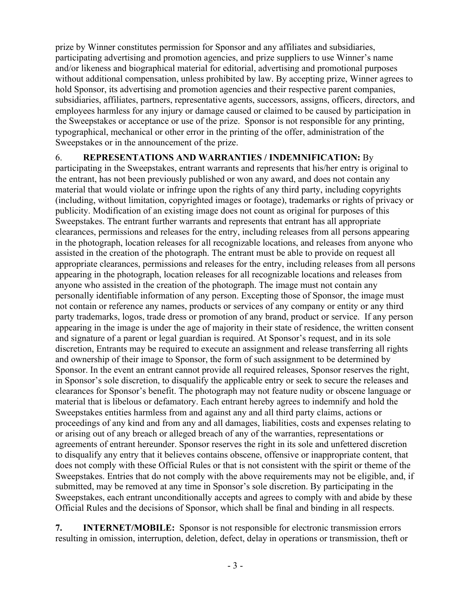prize by Winner constitutes permission for Sponsor and any affiliates and subsidiaries, participating advertising and promotion agencies, and prize suppliers to use Winner's name and/or likeness and biographical material for editorial, advertising and promotional purposes without additional compensation, unless prohibited by law. By accepting prize, Winner agrees to hold Sponsor, its advertising and promotion agencies and their respective parent companies, subsidiaries, affiliates, partners, representative agents, successors, assigns, officers, directors, and employees harmless for any injury or damage caused or claimed to be caused by participation in the Sweepstakes or acceptance or use of the prize. Sponsor is not responsible for any printing, typographical, mechanical or other error in the printing of the offer, administration of the Sweepstakes or in the announcement of the prize.

## 6. **REPRESENTATIONS AND WARRANTIES / INDEMNIFICATION:** By

participating in the Sweepstakes, entrant warrants and represents that his/her entry is original to the entrant, has not been previously published or won any award, and does not contain any material that would violate or infringe upon the rights of any third party, including copyrights (including, without limitation, copyrighted images or footage), trademarks or rights of privacy or publicity. Modification of an existing image does not count as original for purposes of this Sweepstakes. The entrant further warrants and represents that entrant has all appropriate clearances, permissions and releases for the entry, including releases from all persons appearing in the photograph, location releases for all recognizable locations, and releases from anyone who assisted in the creation of the photograph. The entrant must be able to provide on request all appropriate clearances, permissions and releases for the entry, including releases from all persons appearing in the photograph, location releases for all recognizable locations and releases from anyone who assisted in the creation of the photograph. The image must not contain any personally identifiable information of any person. Excepting those of Sponsor, the image must not contain or reference any names, products or services of any company or entity or any third party trademarks, logos, trade dress or promotion of any brand, product or service. If any person appearing in the image is under the age of majority in their state of residence, the written consent and signature of a parent or legal guardian is required. At Sponsor's request, and in its sole discretion, Entrants may be required to execute an assignment and release transferring all rights and ownership of their image to Sponsor, the form of such assignment to be determined by Sponsor. In the event an entrant cannot provide all required releases, Sponsor reserves the right, in Sponsor's sole discretion, to disqualify the applicable entry or seek to secure the releases and clearances for Sponsor's benefit. The photograph may not feature nudity or obscene language or material that is libelous or defamatory. Each entrant hereby agrees to indemnify and hold the Sweepstakes entities harmless from and against any and all third party claims, actions or proceedings of any kind and from any and all damages, liabilities, costs and expenses relating to or arising out of any breach or alleged breach of any of the warranties, representations or agreements of entrant hereunder. Sponsor reserves the right in its sole and unfettered discretion to disqualify any entry that it believes contains obscene, offensive or inappropriate content, that does not comply with these Official Rules or that is not consistent with the spirit or theme of the Sweepstakes. Entries that do not comply with the above requirements may not be eligible, and, if submitted, may be removed at any time in Sponsor's sole discretion. By participating in the Sweepstakes, each entrant unconditionally accepts and agrees to comply with and abide by these Official Rules and the decisions of Sponsor, which shall be final and binding in all respects.

**7. INTERNET/MOBILE:** Sponsor is not responsible for electronic transmission errors resulting in omission, interruption, deletion, defect, delay in operations or transmission, theft or